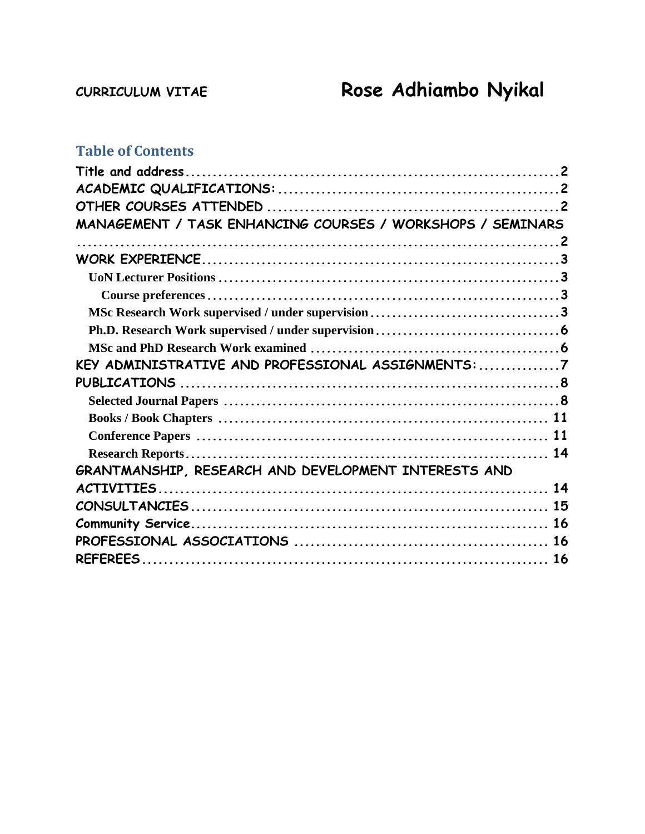# **CURRICULUM VITAE Rose Adhiambo Nyikal**

# **Table of Contents**

| MANAGEMENT / TASK ENHANCING COURSES / WORKSHOPS / SEMINARS |  |  |
|------------------------------------------------------------|--|--|
|                                                            |  |  |
|                                                            |  |  |
|                                                            |  |  |
|                                                            |  |  |
|                                                            |  |  |
|                                                            |  |  |
|                                                            |  |  |
| KEY ADMINISTRATIVE AND PROFESSIONAL ASSIGNMENTS: 7         |  |  |
|                                                            |  |  |
|                                                            |  |  |
|                                                            |  |  |
|                                                            |  |  |
|                                                            |  |  |
| GRANTMANSHIP, RESEARCH AND DEVELOPMENT INTERESTS AND       |  |  |
|                                                            |  |  |
|                                                            |  |  |
|                                                            |  |  |
|                                                            |  |  |
|                                                            |  |  |
|                                                            |  |  |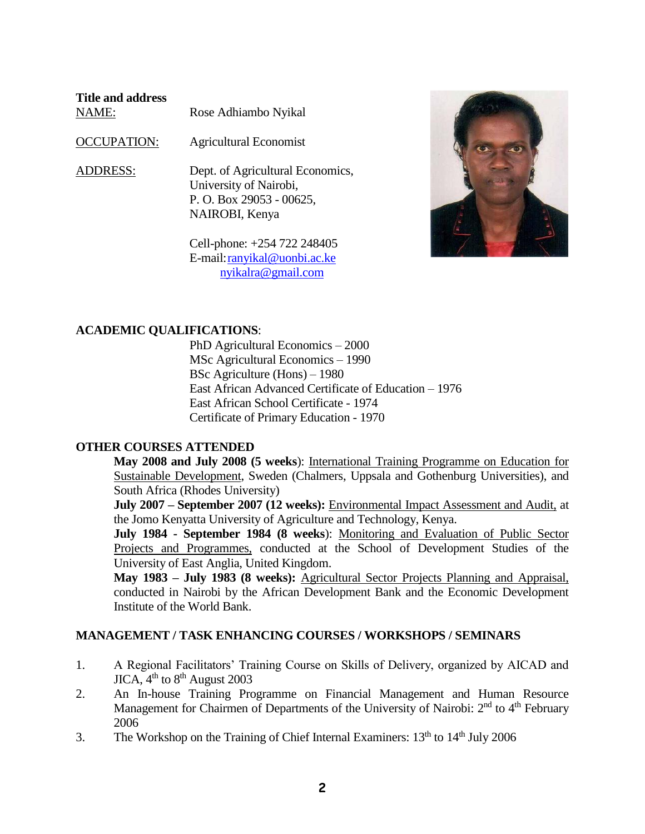<span id="page-1-0"></span>

| Title and address<br>NAME: | Rose Adhiambo Nyikal                                                                                     |
|----------------------------|----------------------------------------------------------------------------------------------------------|
| <b>OCCUPATION:</b>         | <b>Agricultural Economist</b>                                                                            |
| <b>ADDRESS:</b>            | Dept. of Agricultural Economics,<br>University of Nairobi,<br>P. O. Box 29053 - 00625,<br>NAIROBI, Kenya |

Cell-phone: +254 722 248405 E-mail[:ranyikal@uonbi.ac.ke](mailto:ranyikal@uonbi.ac.ke)  [nyikalra@gmail.com](mailto:nyikalra@gmail.com)



# <span id="page-1-1"></span>**ACADEMIC QUALIFICATIONS**:

PhD Agricultural Economics – 2000 MSc Agricultural Economics – 1990 BSc Agriculture (Hons) – 1980 East African Advanced Certificate of Education – 1976 East African School Certificate - 1974 Certificate of Primary Education - 1970

# <span id="page-1-2"></span>**OTHER COURSES ATTENDED**

**May 2008 and July 2008 (5 weeks**): International Training Programme on Education for Sustainable Development, Sweden (Chalmers, Uppsala and Gothenburg Universities), and South Africa (Rhodes University)

**July 2007 – September 2007 (12 weeks):** Environmental Impact Assessment and Audit, at the Jomo Kenyatta University of Agriculture and Technology, Kenya.

**July 1984 - September 1984 (8 weeks**): Monitoring and Evaluation of Public Sector Projects and Programmes, conducted at the School of Development Studies of the University of East Anglia, United Kingdom.

**May 1983 – July 1983 (8 weeks):** Agricultural Sector Projects Planning and Appraisal, conducted in Nairobi by the African Development Bank and the Economic Development Institute of the World Bank.

# <span id="page-1-3"></span>**MANAGEMENT / TASK ENHANCING COURSES / WORKSHOPS / SEMINARS**

- 1. A Regional Facilitators' Training Course on Skills of Delivery, organized by AICAD and  $JICA$ ,  $4<sup>th</sup>$  to  $8<sup>th</sup>$  August 2003
- 2. An In-house Training Programme on Financial Management and Human Resource Management for Chairmen of Departments of the University of Nairobi: 2<sup>nd</sup> to 4<sup>th</sup> February 2006
- 3. The Workshop on the Training of Chief Internal Examiners:  $13<sup>th</sup>$  to  $14<sup>th</sup>$  July 2006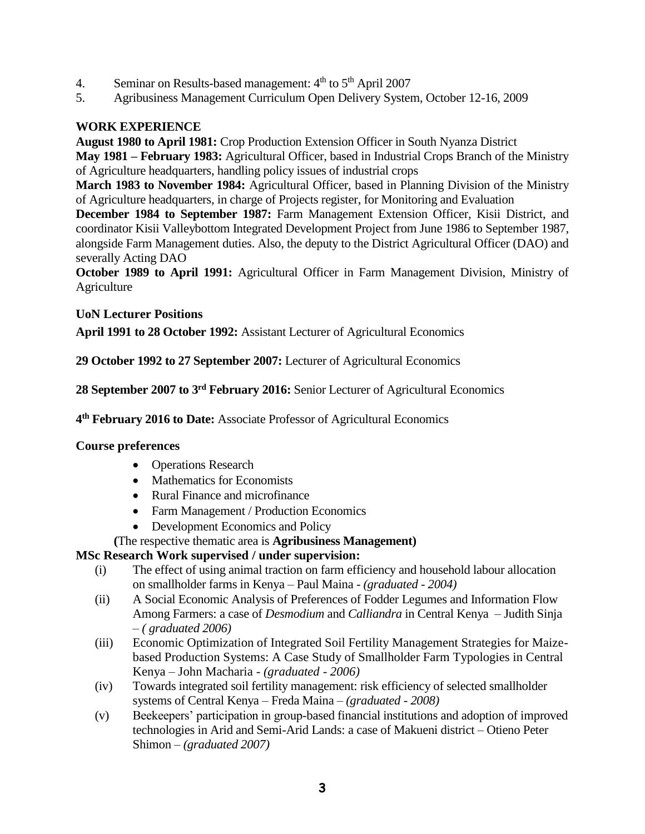- 4. Seminar on Results-based management:  $4<sup>th</sup>$  to  $5<sup>th</sup>$  April 2007
- 5. Agribusiness Management Curriculum Open Delivery System, October 12-16, 2009

# <span id="page-2-0"></span>**WORK EXPERIENCE**

**August 1980 to April 1981:** Crop Production Extension Officer in South Nyanza District

**May 1981 – February 1983:** Agricultural Officer, based in Industrial Crops Branch of the Ministry of Agriculture headquarters, handling policy issues of industrial crops

**March 1983 to November 1984:** Agricultural Officer, based in Planning Division of the Ministry of Agriculture headquarters, in charge of Projects register, for Monitoring and Evaluation

**December 1984 to September 1987:** Farm Management Extension Officer, Kisii District, and coordinator Kisii Valleybottom Integrated Development Project from June 1986 to September 1987, alongside Farm Management duties. Also, the deputy to the District Agricultural Officer (DAO) and severally Acting DAO

**October 1989 to April 1991:** Agricultural Officer in Farm Management Division, Ministry of **Agriculture** 

# <span id="page-2-1"></span>**UoN Lecturer Positions**

**April 1991 to 28 October 1992:** Assistant Lecturer of Agricultural Economics

**29 October 1992 to 27 September 2007:** Lecturer of Agricultural Economics

**28 September 2007 to 3rd February 2016:** Senior Lecturer of Agricultural Economics

**4 th February 2016 to Date:** Associate Professor of Agricultural Economics

# <span id="page-2-2"></span>**Course preferences**

- Operations Research
- Mathematics for Economists
- Rural Finance and microfinance
- Farm Management / Production Economics
- Development Economics and Policy

# **(**The respective thematic area is **Agribusiness Management)**

# <span id="page-2-3"></span>**MSc Research Work supervised / under supervision:**

- (i) The effect of using animal traction on farm efficiency and household labour allocation on smallholder farms in Kenya – Paul Maina - *(graduated - 2004)*
- (ii) A Social Economic Analysis of Preferences of Fodder Legumes and Information Flow Among Farmers: a case of *Desmodium* and *Calliandra* in Central Kenya – Judith Sinja – *( graduated 2006)*
- (iii) Economic Optimization of Integrated Soil Fertility Management Strategies for Maizebased Production Systems: A Case Study of Smallholder Farm Typologies in Central Kenya – John Macharia - *(graduated - 2006)*
- (iv) Towards integrated soil fertility management: risk efficiency of selected smallholder systems of Central Kenya – Freda Maina – *(graduated - 2008)*
- (v) Beekeepers' participation in group-based financial institutions and adoption of improved technologies in Arid and Semi-Arid Lands: a case of Makueni district – Otieno Peter Shimon – *(graduated 2007)*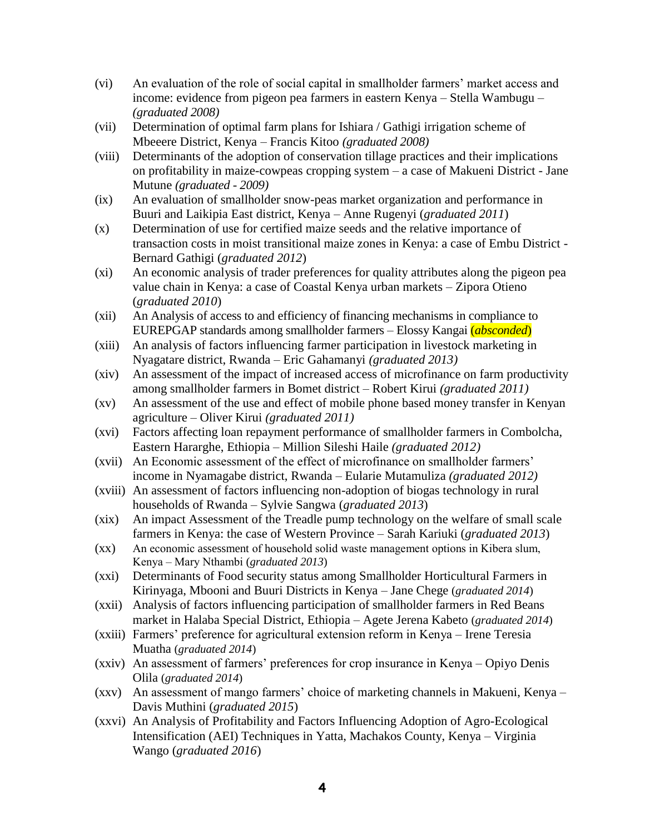- (vi) An evaluation of the role of social capital in smallholder farmers' market access and income: evidence from pigeon pea farmers in eastern Kenya – Stella Wambugu – *(graduated 2008)*
- (vii) Determination of optimal farm plans for Ishiara / Gathigi irrigation scheme of Mbeeere District, Kenya – Francis Kitoo *(graduated 2008)*
- (viii) Determinants of the adoption of conservation tillage practices and their implications on profitability in maize-cowpeas cropping system – a case of Makueni District - Jane Mutune *(graduated - 2009)*
- (ix) An evaluation of smallholder snow-peas market organization and performance in Buuri and Laikipia East district, Kenya – Anne Rugenyi (*graduated 2011*)
- (x) Determination of use for certified maize seeds and the relative importance of transaction costs in moist transitional maize zones in Kenya: a case of Embu District - Bernard Gathigi (*graduated 2012*)
- (xi) An economic analysis of trader preferences for quality attributes along the pigeon pea value chain in Kenya: a case of Coastal Kenya urban markets – Zipora Otieno (*graduated 2010*)
- (xii) An Analysis of access to and efficiency of financing mechanisms in compliance to EUREPGAP standards among smallholder farmers – Elossy Kangai (*absconded*)
- (xiii) An analysis of factors influencing farmer participation in livestock marketing in Nyagatare district, Rwanda – Eric Gahamanyi *(graduated 2013)*
- (xiv) An assessment of the impact of increased access of microfinance on farm productivity among smallholder farmers in Bomet district *–* Robert Kirui *(graduated 2011)*
- (xv) An assessment of the use and effect of mobile phone based money transfer in Kenyan agriculture – Oliver Kirui *(graduated 2011)*
- (xvi) Factors affecting loan repayment performance of smallholder farmers in Combolcha, Eastern Hararghe, Ethiopia – Million Sileshi Haile *(graduated 2012)*
- (xvii) An Economic assessment of the effect of microfinance on smallholder farmers' income in Nyamagabe district, Rwanda – Eularie Mutamuliza *(graduated 2012)*
- (xviii) An assessment of factors influencing non-adoption of biogas technology in rural households of Rwanda – Sylvie Sangwa (*graduated 2013*)
- (xix) An impact Assessment of the Treadle pump technology on the welfare of small scale farmers in Kenya: the case of Western Province – Sarah Kariuki (*graduated 2013*)
- (xx) An economic assessment of household solid waste management options in Kibera slum, Kenya – Mary Nthambi (*graduated 2013*)
- (xxi) Determinants of Food security status among Smallholder Horticultural Farmers in Kirinyaga, Mbooni and Buuri Districts in Kenya – Jane Chege (*graduated 2014*)
- (xxii) Analysis of factors influencing participation of smallholder farmers in Red Beans market in Halaba Special District, Ethiopia – Agete Jerena Kabeto (*graduated 2014*)
- (xxiii) Farmers' preference for agricultural extension reform in Kenya Irene Teresia Muatha (*graduated 2014*)
- (xxiv) An assessment of farmers' preferences for crop insurance in Kenya Opiyo Denis Olila (*graduated 2014*)
- (xxv) An assessment of mango farmers' choice of marketing channels in Makueni, Kenya Davis Muthini (*graduated 2015*)
- (xxvi) An Analysis of Profitability and Factors Influencing Adoption of Agro-Ecological Intensification (AEI) Techniques in Yatta, Machakos County, Kenya – Virginia Wango (*graduated 2016*)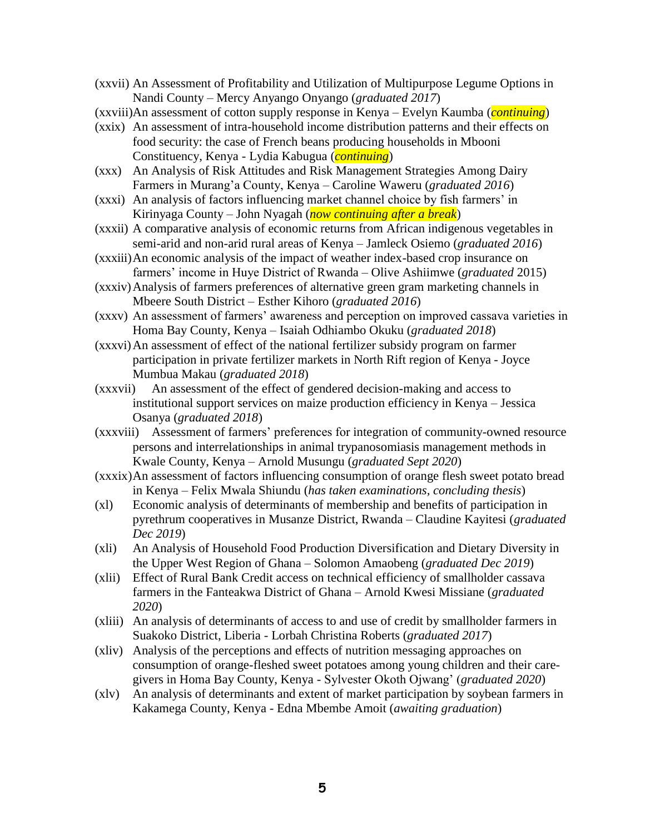- (xxvii) An Assessment of Profitability and Utilization of Multipurpose Legume Options in Nandi County – Mercy Anyango Onyango (*graduated 2017*)
- (xxviii)An assessment of cotton supply response in Kenya Evelyn Kaumba (*continuing*)
- (xxix) An assessment of intra-household income distribution patterns and their effects on food security: the case of French beans producing households in Mbooni Constituency, Kenya - Lydia Kabugua (*continuing*)
- (xxx) An Analysis of Risk Attitudes and Risk Management Strategies Among Dairy Farmers in Murang'a County, Kenya – Caroline Waweru (*graduated 2016*)
- (xxxi) An analysis of factors influencing market channel choice by fish farmers' in Kirinyaga County – John Nyagah (*now continuing after a break*)
- (xxxii) A comparative analysis of economic returns from African indigenous vegetables in semi-arid and non-arid rural areas of Kenya – Jamleck Osiemo (*graduated 2016*)
- (xxxiii)An economic analysis of the impact of weather index-based crop insurance on farmers' income in Huye District of Rwanda – Olive Ashiimwe (*graduated* 2015)
- (xxxiv)Analysis of farmers preferences of alternative green gram marketing channels in Mbeere South District – Esther Kihoro (*graduated 2016*)
- (xxxv) An assessment of farmers' awareness and perception on improved cassava varieties in Homa Bay County, Kenya – Isaiah Odhiambo Okuku (*graduated 2018*)
- (xxxvi)An assessment of effect of the national fertilizer subsidy program on farmer participation in private fertilizer markets in North Rift region of Kenya - Joyce Mumbua Makau (*graduated 2018*)
- (xxxvii) An assessment of the effect of gendered decision-making and access to institutional support services on maize production efficiency in Kenya – Jessica Osanya (*graduated 2018*)
- (xxxviii) Assessment of farmers' preferences for integration of community-owned resource persons and interrelationships in animal trypanosomiasis management methods in Kwale County, Kenya – Arnold Musungu (*graduated Sept 2020*)
- (xxxix)An assessment of factors influencing consumption of orange flesh sweet potato bread in Kenya – Felix Mwala Shiundu (*has taken examinations, concluding thesis*)
- (xl) Economic analysis of determinants of membership and benefits of participation in pyrethrum cooperatives in Musanze District, Rwanda – Claudine Kayitesi (*graduated Dec 2019*)
- (xli) An Analysis of Household Food Production Diversification and Dietary Diversity in the Upper West Region of Ghana – Solomon Amaobeng (*graduated Dec 2019*)
- (xlii) Effect of Rural Bank Credit access on technical efficiency of smallholder cassava farmers in the Fanteakwa District of Ghana – Arnold Kwesi Missiane (*graduated 2020*)
- (xliii) An analysis of determinants of access to and use of credit by smallholder farmers in Suakoko District, Liberia - Lorbah Christina Roberts (*graduated 2017*)
- (xliv) Analysis of the perceptions and effects of nutrition messaging approaches on consumption of orange-fleshed sweet potatoes among young children and their caregivers in Homa Bay County, Kenya - Sylvester Okoth Ojwang' (*graduated 2020*)
- (xlv) An analysis of determinants and extent of market participation by soybean farmers in Kakamega County, Kenya - Edna Mbembe Amoit (*awaiting graduation*)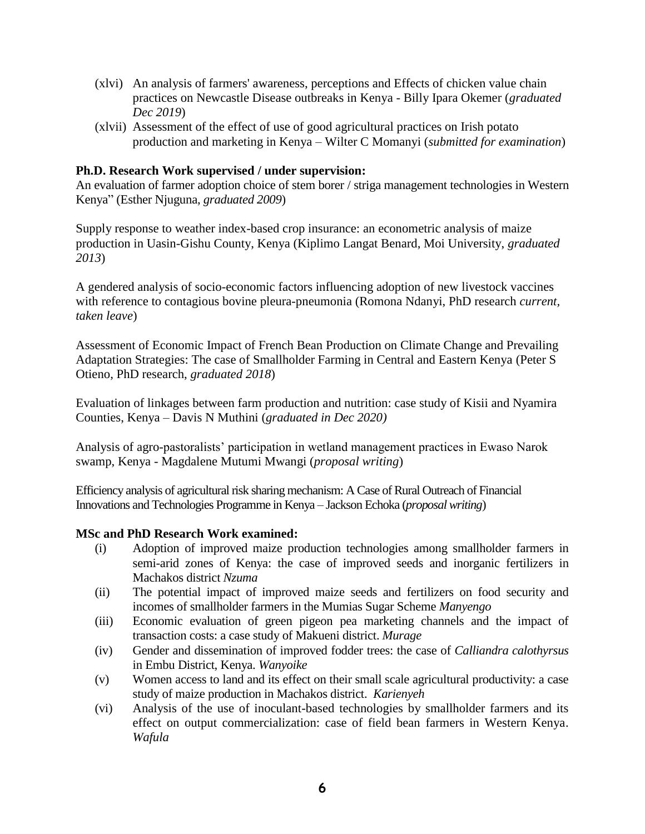- (xlvi) An analysis of farmers' awareness, perceptions and Effects of chicken value chain practices on Newcastle Disease outbreaks in Kenya - Billy Ipara Okemer (*graduated Dec 2019*)
- (xlvii) Assessment of the effect of use of good agricultural practices on Irish potato production and marketing in Kenya – Wilter C Momanyi (*submitted for examination*)

#### <span id="page-5-0"></span>**Ph.D. Research Work supervised / under supervision:**

An evaluation of farmer adoption choice of stem borer / striga management technologies in Western Kenya" (Esther Njuguna, *graduated 2009*)

Supply response to weather index-based crop insurance: an econometric analysis of maize production in Uasin-Gishu County, Kenya (Kiplimo Langat Benard, Moi University, *graduated 2013*)

A gendered analysis of socio-economic factors influencing adoption of new livestock vaccines with reference to contagious bovine pleura-pneumonia (Romona Ndanyi, PhD research *current, taken leave*)

Assessment of Economic Impact of French Bean Production on Climate Change and Prevailing Adaptation Strategies: The case of Smallholder Farming in Central and Eastern Kenya (Peter S Otieno, PhD research, *graduated 2018*)

Evaluation of linkages between farm production and nutrition: case study of Kisii and Nyamira Counties, Kenya – Davis N Muthini (*graduated in Dec 2020)*

Analysis of agro-pastoralists' participation in wetland management practices in Ewaso Narok swamp, Kenya - Magdalene Mutumi Mwangi (*proposal writing*)

Efficiency analysis of agricultural risk sharing mechanism: A Case of Rural Outreach of Financial Innovations and Technologies Programme in Kenya – Jackson Echoka (*proposal writing*)

#### <span id="page-5-1"></span>**MSc and PhD Research Work examined:**

- (i) Adoption of improved maize production technologies among smallholder farmers in semi-arid zones of Kenya: the case of improved seeds and inorganic fertilizers in Machakos district *Nzuma*
- (ii) The potential impact of improved maize seeds and fertilizers on food security and incomes of smallholder farmers in the Mumias Sugar Scheme *Manyengo*
- (iii) Economic evaluation of green pigeon pea marketing channels and the impact of transaction costs: a case study of Makueni district. *Murage*
- (iv) Gender and dissemination of improved fodder trees: the case of *Calliandra calothyrsus* in Embu District, Kenya. *Wanyoike*
- (v) Women access to land and its effect on their small scale agricultural productivity: a case study of maize production in Machakos district. *Karienyeh*
- (vi) Analysis of the use of inoculant-based technologies by smallholder farmers and its effect on output commercialization: case of field bean farmers in Western Kenya. *Wafula*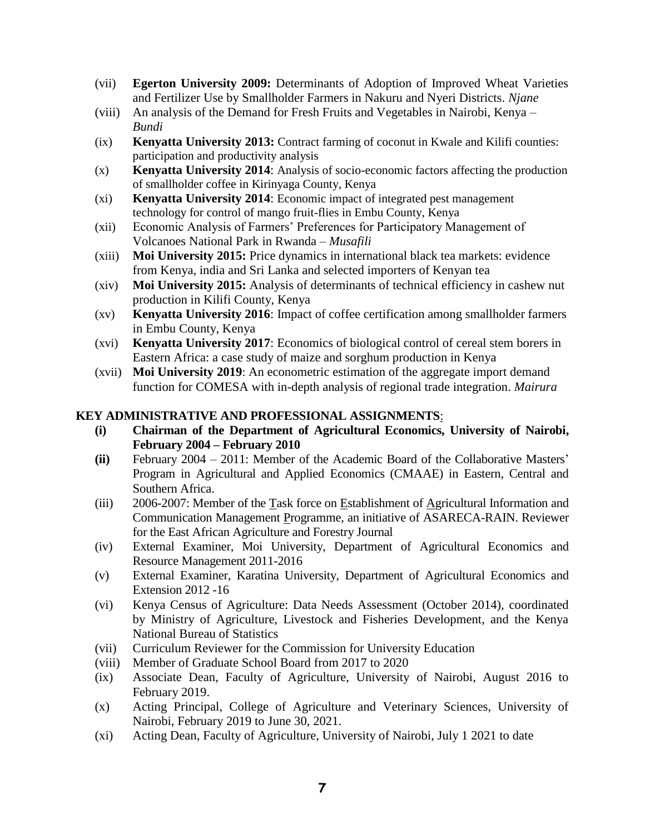- (vii) **Egerton University 2009:** Determinants of Adoption of Improved Wheat Varieties and Fertilizer Use by Smallholder Farmers in Nakuru and Nyeri Districts. *Njane*
- (viii) An analysis of the Demand for Fresh Fruits and Vegetables in Nairobi, Kenya *Bundi*
- (ix) **Kenyatta University 2013:** Contract farming of coconut in Kwale and Kilifi counties: participation and productivity analysis
- (x) **Kenyatta University 2014**: Analysis of socio-economic factors affecting the production of smallholder coffee in Kirinyaga County, Kenya
- (xi) **Kenyatta University 2014**: Economic impact of integrated pest management technology for control of mango fruit-flies in Embu County, Kenya
- (xii) Economic Analysis of Farmers' Preferences for Participatory Management of Volcanoes National Park in Rwanda – *Musafili*
- (xiii) **Moi University 2015:** Price dynamics in international black tea markets: evidence from Kenya, india and Sri Lanka and selected importers of Kenyan tea
- (xiv) **Moi University 2015:** Analysis of determinants of technical efficiency in cashew nut production in Kilifi County, Kenya
- (xv) **Kenyatta University 2016**: Impact of coffee certification among smallholder farmers in Embu County, Kenya
- (xvi) **Kenyatta University 2017**: Economics of biological control of cereal stem borers in Eastern Africa: a case study of maize and sorghum production in Kenya
- (xvii) **Moi University 2019**: An econometric estimation of the aggregate import demand function for COMESA with in-depth analysis of regional trade integration. *Mairura*

#### <span id="page-6-0"></span>**KEY ADMINISTRATIVE AND PROFESSIONAL ASSIGNMENTS**:

- **(i) Chairman of the Department of Agricultural Economics, University of Nairobi, February 2004 – February 2010**
- **(ii)** February 2004 2011: Member of the Academic Board of the Collaborative Masters' Program in Agricultural and Applied Economics (CMAAE) in Eastern, Central and Southern Africa.
- (iii) 2006-2007: Member of the Task force on Establishment of Agricultural Information and Communication Management Programme, an initiative of ASARECA-RAIN. Reviewer for the East African Agriculture and Forestry Journal
- (iv) External Examiner, Moi University, Department of Agricultural Economics and Resource Management 2011-2016
- (v) External Examiner, Karatina University, Department of Agricultural Economics and Extension 2012 -16
- (vi) Kenya Census of Agriculture: Data Needs Assessment (October 2014), coordinated by Ministry of Agriculture, Livestock and Fisheries Development, and the Kenya National Bureau of Statistics
- (vii) Curriculum Reviewer for the Commission for University Education
- (viii) Member of Graduate School Board from 2017 to 2020
- (ix) Associate Dean, Faculty of Agriculture, University of Nairobi, August 2016 to February 2019.
- (x) Acting Principal, College of Agriculture and Veterinary Sciences, University of Nairobi, February 2019 to June 30, 2021.
- (xi) Acting Dean, Faculty of Agriculture, University of Nairobi, July 1 2021 to date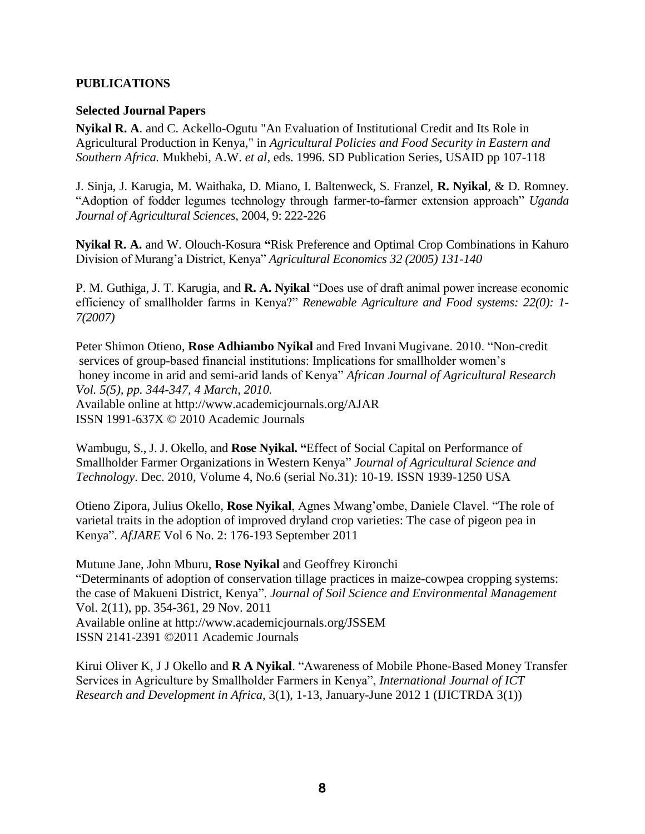#### <span id="page-7-1"></span><span id="page-7-0"></span>**PUBLICATIONS**

#### **Selected Journal Papers**

**Nyikal R. A**. and C. Ackello-Ogutu "An Evaluation of Institutional Credit and Its Role in Agricultural Production in Kenya," in *Agricultural Policies and Food Security in Eastern and Southern Africa.* Mukhebi, A.W. *et al*, eds. 1996. SD Publication Series, USAID pp 107-118

J. Sinja, J. Karugia, M. Waithaka, D. Miano, I. Baltenweck, S. Franzel, **R. Nyikal**, & D. Romney. "Adoption of fodder legumes technology through farmer-to-farmer extension approach" *Uganda Journal of Agricultural Sciences,* 2004, 9: 222-226

**Nyikal R. A.** and W. Olouch-Kosura **"**Risk Preference and Optimal Crop Combinations in Kahuro Division of Murang'a District, Kenya" *Agricultural Economics 32 (2005) 131-140*

P. M. Guthiga, J. T. Karugia, and **R. A. Nyikal** "Does use of draft animal power increase economic efficiency of smallholder farms in Kenya?" *Renewable Agriculture and Food systems: 22(0): 1- 7(2007)*

Peter Shimon Otieno, **Rose Adhiambo Nyikal** and Fred Invani Mugivane. 2010. "Non-credit services of group-based financial institutions: Implications for smallholder women's honey income in arid and semi-arid lands of Kenya" *African Journal of Agricultural Research Vol. 5(5), pp. 344-347, 4 March, 2010.* Available online at http://www.academicjournals.org/AJAR ISSN 1991-637X © 2010 Academic Journals

Wambugu, S., J. J. Okello, and **Rose Nyikal. "**Effect of Social Capital on Performance of Smallholder Farmer Organizations in Western Kenya" *Journal of Agricultural Science and Technology*. Dec. 2010, Volume 4, No.6 (serial No.31): 10-19. ISSN 1939-1250 USA

Otieno Zipora, Julius Okello, **Rose Nyikal**, Agnes Mwang'ombe, Daniele Clavel. "The role of varietal traits in the adoption of improved dryland crop varieties: The case of pigeon pea in Kenya". *AfJARE* Vol 6 No. 2: 176-193 September 2011

Mutune Jane, John Mburu, **Rose Nyikal** and Geoffrey Kironchi "Determinants of adoption of conservation tillage practices in maize-cowpea cropping systems: the case of Makueni District, Kenya". *Journal of Soil Science and Environmental Management* Vol. 2(11), pp. 354-361, 29 Nov. 2011 Available online at http://www.academicjournals.org/JSSEM ISSN 2141-2391 ©2011 Academic Journals

Kirui Oliver K, J J Okello and **R A Nyikal**. "Awareness of Mobile Phone-Based Money Transfer Services in Agriculture by Smallholder Farmers in Kenya", *International Journal of ICT Research and Development in Africa,* 3(1), 1-13, January-June 2012 1 (IJICTRDA 3(1))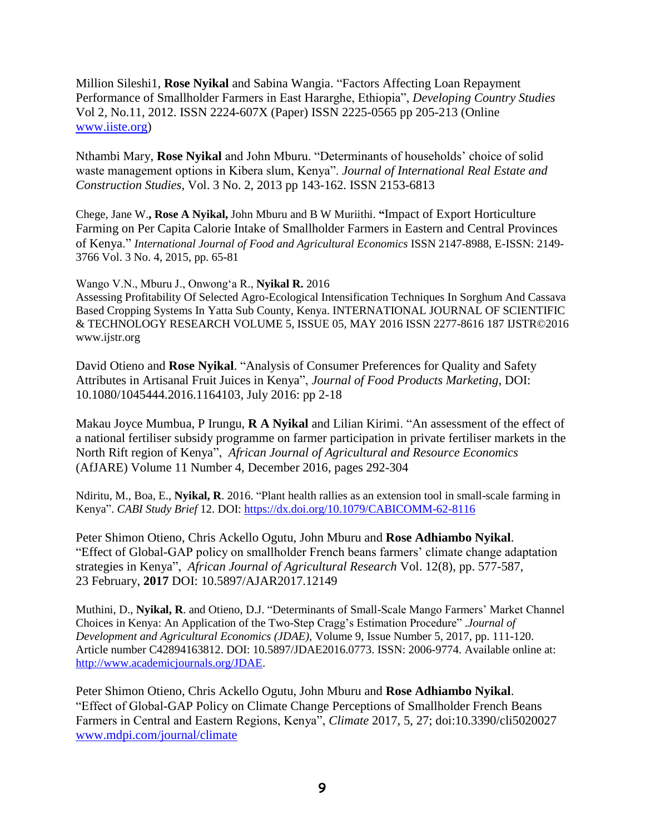Million Sileshi1, **Rose Nyikal** and Sabina Wangia. "Factors Affecting Loan Repayment Performance of Smallholder Farmers in East Hararghe, Ethiopia", *Developing Country Studies* Vol 2, No.11, 2012. ISSN 2224-607X (Paper) ISSN 2225-0565 pp 205-213 (Online [www.iiste.org\)](http://www.iiste.org/)

Nthambi Mary, **Rose Nyikal** and John Mburu. "Determinants of households' choice of solid waste management options in Kibera slum, Kenya". *Journal of International Real Estate and Construction Studies,* Vol. 3 No. 2, 2013 pp 143-162. ISSN 2153-6813

Chege, Jane W.**, Rose A Nyikal,** John Mburu and B W Muriithi. **"**Impact of Export Horticulture Farming on Per Capita Calorie Intake of Smallholder Farmers in Eastern and Central Provinces of Kenya." *International Journal of Food and Agricultural Economics* ISSN 2147-8988, E-ISSN: 2149- 3766 Vol. 3 No. 4, 2015, pp. 65-81

Wango V.N., Mburu J., Onwong'a R., **Nyikal R.** 2016 Assessing Profitability Of Selected Agro-Ecological Intensification Techniques In Sorghum And Cassava Based Cropping Systems In Yatta Sub County, Kenya. INTERNATIONAL JOURNAL OF SCIENTIFIC & TECHNOLOGY RESEARCH VOLUME 5, ISSUE 05, MAY 2016 ISSN 2277-8616 187 IJSTR©2016 www.ijstr.org

David Otieno and **Rose Nyikal**. "Analysis of Consumer Preferences for Quality and Safety Attributes in Artisanal Fruit Juices in Kenya", *Journal of Food Products Marketing*, DOI: 10.1080/1045444.2016.1164103, July 2016: pp 2-18

Makau Joyce Mumbua, P Irungu, **R A Nyikal** and Lilian Kirimi. "An assessment of the effect of a national fertiliser subsidy programme on farmer participation in private fertiliser markets in the North Rift region of Kenya", *African Journal of Agricultural and Resource Economics* (AfJARE) Volume 11 Number 4, December 2016, pages 292-304

Ndiritu, M., Boa, E., **Nyikal, R**. 2016. "Plant health rallies as an extension tool in small-scale farming in Kenya". *CABI Study Brief* 12. DOI:<https://dx.doi.org/10.1079/CABICOMM-62-8116>

Peter Shimon Otieno, Chris Ackello Ogutu, John Mburu and **Rose Adhiambo Nyikal**. "Effect of Global-GAP policy on smallholder French beans farmers' climate change adaptation strategies in Kenya", *African Journal of Agricultural Research* Vol. 12(8), pp. 577-587, 23 February, **2017** DOI: 10.5897/AJAR2017.12149

Muthini, D., **Nyikal, R**. and Otieno, D.J. "Determinants of Small-Scale Mango Farmers' Market Channel Choices in Kenya: An Application of the Two-Step Cragg's Estimation Procedure" .*Journal of Development and Agricultural Economics (JDAE),* Volume 9, Issue Number 5, 2017, pp. 111-120. Article number C42894163812. DOI: 10.5897/JDAE2016.0773. ISSN: 2006-9774. Available online at: [http://www.academicjournals.org/JDAE.](http://www.academicjournals.org/JDAE)

Peter Shimon Otieno, Chris Ackello Ogutu, John Mburu and **Rose Adhiambo Nyikal**. "Effect of Global-GAP Policy on Climate Change Perceptions of Smallholder French Beans Farmers in Central and Eastern Regions, Kenya", *Climate* 2017, 5, 27; doi:10.3390/cli5020027 [www.mdpi.com/journal/climate](http://www.mdpi.com/journal/climate)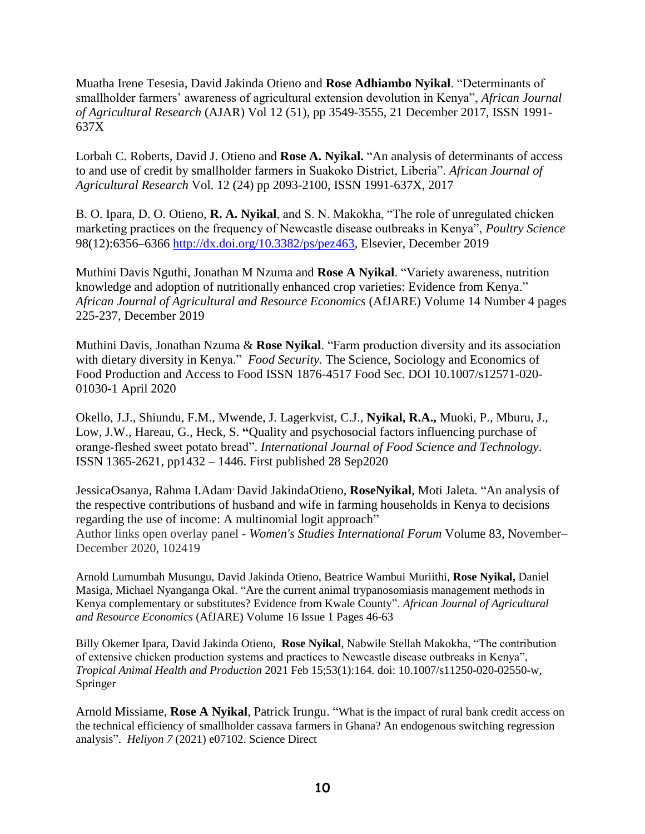Muatha Irene Tesesia, David Jakinda Otieno and **Rose Adhiambo Nyikal**. "Determinants of smallholder farmers' awareness of agricultural extension devolution in Kenya", *African Journal of Agricultural Research* (AJAR) Vol 12 (51), pp 3549-3555, 21 December 2017, ISSN 1991- 637X

Lorbah C. Roberts, David J. Otieno and **Rose A. Nyikal.** "An analysis of determinants of access to and use of credit by smallholder farmers in Suakoko District, Liberia". *African Journal of Agricultural Research* Vol. 12 (24) pp 2093-2100, ISSN 1991-637X, 2017

B. O. Ipara, D. O. Otieno, **R. A. Nyikal**, and S. N. Makokha, "The role of unregulated chicken marketing practices on the frequency of Newcastle disease outbreaks in Kenya", *Poultry Science* 98(12):6356–6366 [http://dx.doi.org/10.3382/ps/pez463,](http://dx.doi.org/10.3382/ps/pez463) Elsevier, December 2019

Muthini Davis Nguthi, Jonathan M Nzuma and **Rose A Nyikal**. "Variety awareness, nutrition knowledge and adoption of nutritionally enhanced crop varieties: Evidence from Kenya." *African Journal of Agricultural and Resource Economics* (AfJARE) Volume 14 Number 4 pages 225-237, December 2019

Muthini Davis, Jonathan Nzuma & **Rose Nyikal**. "Farm production diversity and its association with dietary diversity in Kenya." *Food Security.* The Science, Sociology and Economics of Food Production and Access to Food ISSN 1876-4517 Food Sec. DOI 10.1007/s12571-020- 01030-1 April 2020

Okello, J.J., Shiundu, F.M., Mwende, J. Lagerkvist, C.J., **Nyikal, R.A.,** Muoki, P., Mburu, J., Low, J.W., Hareau, G., Heck, S. **"**Quality and psychosocial factors influencing purchase of orange‐fleshed sweet potato bread". *International Journal of Food Science and Technology*. ISSN 1365-2621, pp1432 – 1446. First published 28 Sep2020

JessicaOsanya, Rahma I.Adam, David JakindaOtieno, **RoseNyikal**, Moti Jaleta. "An analysis of the respective contributions of husband and wife in farming households in Kenya to decisions regarding the use of income: A multinomial logit approach" Author links open overlay panel - *[Women's Studies International Forum](https://www.sciencedirect.com/science/journal/02775395)* [Volume 83,](https://www.sciencedirect.com/science/journal/02775395/83/supp/C) November– December 2020, 102419

Arnold Lumumbah Musungu, David Jakinda Otieno, Beatrice Wambui Muriithi, **Rose Nyikal,** Daniel Masiga, Michael Nyanganga Okal. "Are the current animal trypanosomiasis management methods in Kenya complementary or substitutes? Evidence from Kwale County". *African Journal of Agricultural and Resource Economics* (AfJARE) Volume 16 Issue 1 Pages 46-63

Billy Okemer Ipara, David Jakinda Otieno, **Rose Nyikal**, Nabwile Stellah Makokha, "The contribution of extensive chicken production systems and practices to Newcastle disease outbreaks in Kenya", *Tropical Animal Health and Production* 2021 Feb 15;53(1):164. doi: 10.1007/s11250-020-02550-w, Springer

Arnold Missiame, **Rose A Nyikal**, Patrick Irungu. "What is the impact of rural bank credit access on the technical efficiency of smallholder cassava farmers in Ghana? An endogenous switching regression analysis". *Heliyon 7* (2021) e07102. Science Direct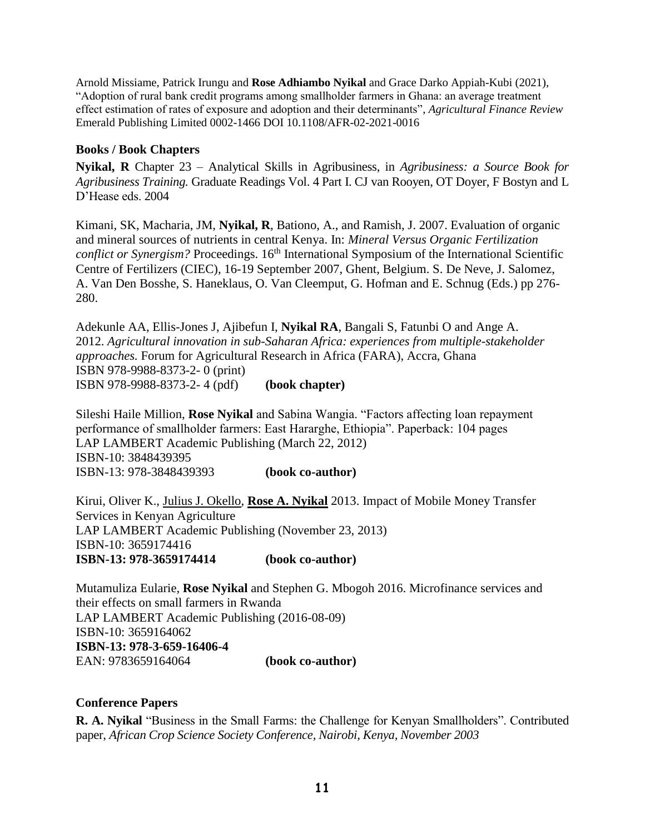Arnold Missiame, Patrick Irungu and **Rose Adhiambo Nyikal** and Grace Darko Appiah-Kubi (2021), "Adoption of rural bank credit programs among smallholder farmers in Ghana: an average treatment effect estimation of rates of exposure and adoption and their determinants", *Agricultural Finance Review* Emerald Publishing Limited 0002-1466 DOI 10.1108/AFR-02-2021-0016

#### <span id="page-10-0"></span>**Books / Book Chapters**

**Nyikal, R** Chapter 23 – Analytical Skills in Agribusiness, in *Agribusiness: a Source Book for Agribusiness Training.* Graduate Readings Vol. 4 Part I. CJ van Rooyen, OT Doyer, F Bostyn and L D'Hease eds. 2004

Kimani, SK, Macharia, JM, **Nyikal, R**, Bationo, A., and Ramish, J. 2007. Evaluation of organic and mineral sources of nutrients in central Kenya. In: *Mineral Versus Organic Fertilization conflict or Synergism?* Proceedings. 16<sup>th</sup> International Symposium of the International Scientific Centre of Fertilizers (CIEC), 16-19 September 2007, Ghent, Belgium. S. De Neve, J. Salomez, A. Van Den Bosshe, S. Haneklaus, O. Van Cleemput, G. Hofman and E. Schnug (Eds.) pp 276- 280.

Adekunle AA, Ellis-Jones J, Ajibefun I, **Nyikal RA**, Bangali S, Fatunbi O and Ange A. 2012. *Agricultural innovation in sub-Saharan Africa: experiences from multiple-stakeholder approaches.* Forum for Agricultural Research in Africa (FARA), Accra, Ghana ISBN 978-9988-8373-2- 0 (print) ISBN 978-9988-8373-2- 4 (pdf) **(book chapter)**

Sileshi Haile Million, **Rose Nyikal** and Sabina Wangia. "Factors affecting loan repayment performance of smallholder farmers: East Hararghe, Ethiopia". Paperback: 104 pages LAP LAMBERT Academic Publishing (March 22, 2012) ISBN-10: 3848439395 ISBN-13: 978-3848439393 **(book co-author)**

Kirui, Oliver K., [Julius J. Okello,](http://www.amazon.com/s/ref=dp_byline_sr_book_2?ie=UTF8&field-author=Julius+J.+Okello&search-alias=books&text=Julius+J.+Okello&sort=relevancerank) **[Rose A. Nyikal](http://www.amazon.com/s/ref=dp_byline_sr_book_3?ie=UTF8&field-author=Rose+A.+Nyikal&search-alias=books&text=Rose+A.+Nyikal&sort=relevancerank)** 2013. Impact of Mobile Money Transfer Services in Kenyan Agriculture LAP LAMBERT Academic Publishing (November 23, 2013) ISBN-10: 3659174416 **ISBN-13: 978-3659174414 (book co-author)**

Mutamuliza Eularie, **Rose Nyikal** and Stephen G. Mbogoh 2016. Microfinance services and their effects on small farmers in Rwanda LAP LAMBERT Academic Publishing (2016-08-09) ISBN-10: 3659164062 **ISBN-13: 978-3-659-16406-4** EAN: 9783659164064 **(book co-author)**

# <span id="page-10-1"></span>**Conference Papers**

**R. A. Nyikal** "Business in the Small Farms: the Challenge for Kenyan Smallholders". Contributed paper, *African Crop Science Society Conference, Nairobi, Kenya, November 2003*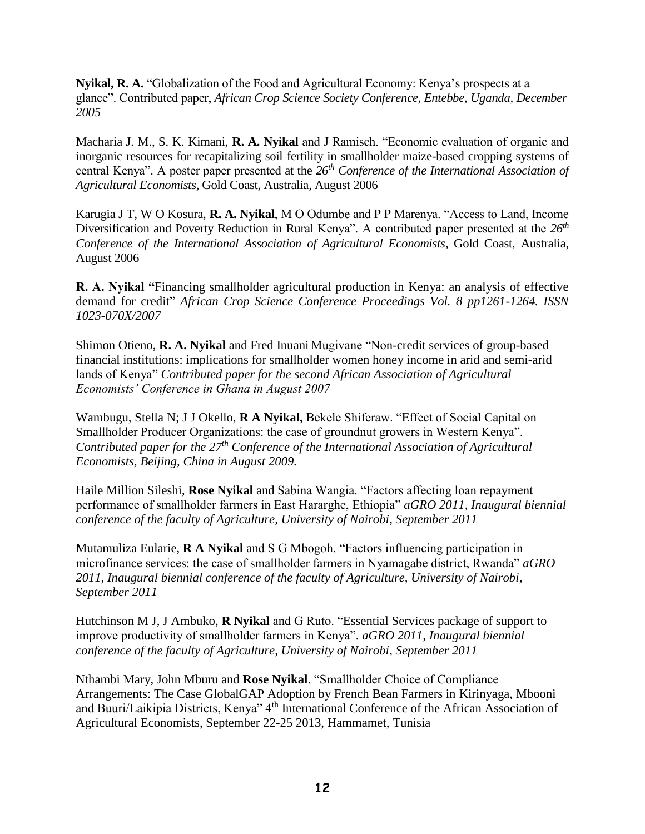**Nyikal, R. A.** "Globalization of the Food and Agricultural Economy: Kenya's prospects at a glance". Contributed paper, *African Crop Science Society Conference, Entebbe, Uganda, December 2005*

Macharia J. M., S. K. Kimani, **R. A. Nyikal** and J Ramisch. "Economic evaluation of organic and inorganic resources for recapitalizing soil fertility in smallholder maize-based cropping systems of central Kenya". A poster paper presented at the *26th Conference of the International Association of Agricultural Economists*, Gold Coast, Australia, August 2006

Karugia J T, W O Kosura, **R. A. Nyikal**, M O Odumbe and P P Marenya. "Access to Land, Income Diversification and Poverty Reduction in Rural Kenya". A contributed paper presented at the *26th Conference of the International Association of Agricultural Economists*, Gold Coast, Australia, August 2006

**R. A. Nyikal "**Financing smallholder agricultural production in Kenya: an analysis of effective demand for credit" *African Crop Science Conference Proceedings Vol. 8 pp1261-1264. ISSN 1023-070X/2007*

Shimon Otieno, **R. A. Nyikal** and Fred Inuani Mugivane "Non-credit services of group-based financial institutions: implications for smallholder women honey income in arid and semi-arid lands of Kenya" *Contributed paper for the second African Association of Agricultural Economists' Conference in Ghana in August 2007*

Wambugu, Stella N; J J Okello, **R A Nyikal,** Bekele Shiferaw. "Effect of Social Capital on Smallholder Producer Organizations: the case of groundnut growers in Western Kenya". *Contributed paper for the 27th Conference of the International Association of Agricultural Economists, Beijing, China in August 2009.*

Haile Million Sileshi, **Rose Nyikal** and Sabina Wangia. "Factors affecting loan repayment performance of smallholder farmers in East Hararghe, Ethiopia" *aGRO 2011, Inaugural biennial conference of the faculty of Agriculture, University of Nairobi, September 2011*

Mutamuliza Eularie, **R A Nyikal** and S G Mbogoh. "Factors influencing participation in microfinance services: the case of smallholder farmers in Nyamagabe district, Rwanda" *aGRO 2011, Inaugural biennial conference of the faculty of Agriculture, University of Nairobi, September 2011*

Hutchinson M J, J Ambuko, **R Nyikal** and G Ruto. "Essential Services package of support to improve productivity of smallholder farmers in Kenya". *aGRO 2011, Inaugural biennial conference of the faculty of Agriculture, University of Nairobi, September 2011*

Nthambi Mary, John Mburu and **Rose Nyikal**. "Smallholder Choice of Compliance Arrangements: The Case GlobalGAP Adoption by French Bean Farmers in Kirinyaga, Mbooni and Buuri/Laikipia Districts, Kenya" 4<sup>th</sup> International Conference of the African Association of Agricultural Economists, September 22-25 2013, Hammamet, Tunisia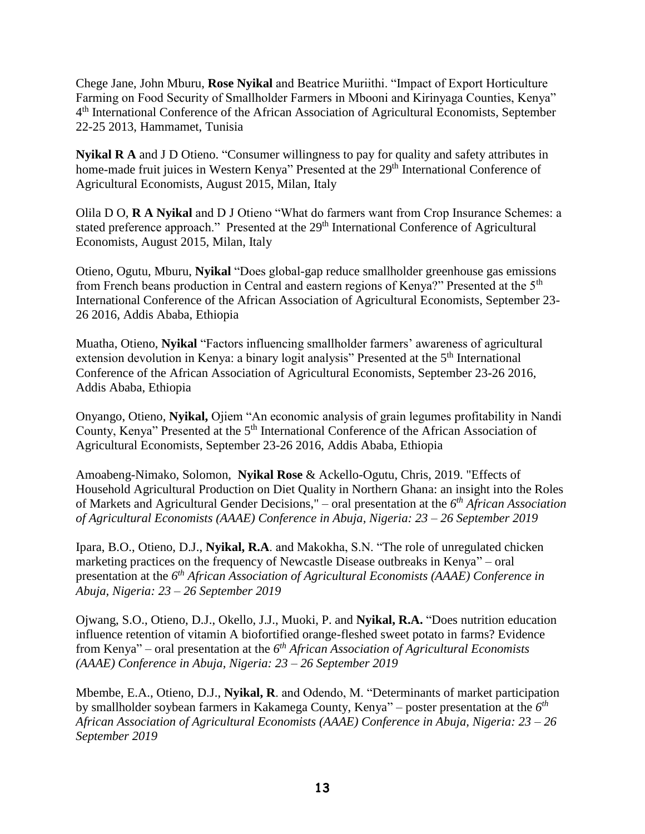Chege Jane, John Mburu, **Rose Nyikal** and Beatrice Muriithi. "Impact of Export Horticulture Farming on Food Security of Smallholder Farmers in Mbooni and Kirinyaga Counties, Kenya" 4<sup>th</sup> International Conference of the African Association of Agricultural Economists, September 22-25 2013, Hammamet, Tunisia

**Nyikal R A** and J D Otieno. "Consumer willingness to pay for quality and safety attributes in home-made fruit juices in Western Kenya" Presented at the 29<sup>th</sup> International Conference of Agricultural Economists, August 2015, Milan, Italy

Olila D O, **R A Nyikal** and D J Otieno "What do farmers want from Crop Insurance Schemes: a stated preference approach." Presented at the 29<sup>th</sup> International Conference of Agricultural Economists, August 2015, Milan, Italy

Otieno, Ogutu, Mburu, **Nyikal** "Does global-gap reduce smallholder greenhouse gas emissions from French beans production in Central and eastern regions of Kenya?" Presented at the 5<sup>th</sup> International Conference of the African Association of Agricultural Economists, September 23- 26 2016, Addis Ababa, Ethiopia

Muatha, Otieno, **Nyikal** "Factors influencing smallholder farmers' awareness of agricultural extension devolution in Kenya: a binary logit analysis" Presented at the 5<sup>th</sup> International Conference of the African Association of Agricultural Economists, September 23-26 2016, Addis Ababa, Ethiopia

Onyango, Otieno, **Nyikal,** Ojiem "An economic analysis of grain legumes profitability in Nandi County, Kenya" Presented at the 5<sup>th</sup> International Conference of the African Association of Agricultural Economists, September 23-26 2016, Addis Ababa, Ethiopia

Amoabeng-Nimako, Solomon, **Nyikal Rose** & Ackello-Ogutu, Chris, 2019. ["Effects of](https://ideas.repec.org/p/ags/aaae19/295802.html)  [Household Agricultural Production on Diet Quality in Northern Ghana: an insight into the Roles](https://ideas.repec.org/p/ags/aaae19/295802.html)  [of Markets and Agricultural Gender Decisions,](https://ideas.repec.org/p/ags/aaae19/295802.html)" – oral presentation at the *6 th African Association of Agricultural Economists (AAAE) Conference in Abuja, Nigeria: 23 – 26 September 2019*

Ipara, B.O., Otieno, D.J., **Nyikal, R.A**. and Makokha, S.N. "The role of unregulated chicken marketing practices on the frequency of Newcastle Disease outbreaks in Kenya" – oral presentation at the *6 th African Association of Agricultural Economists (AAAE) Conference in Abuja, Nigeria: 23 – 26 September 2019*

Ojwang, S.O., Otieno, D.J., Okello, J.J., Muoki, P. and **Nyikal, R.A.** "Does nutrition education influence retention of vitamin A biofortified orange-fleshed sweet potato in farms? Evidence from Kenya" – oral presentation at the *6 th African Association of Agricultural Economists (AAAE) Conference in Abuja, Nigeria: 23 – 26 September 2019*

Mbembe, E.A., Otieno, D.J., **Nyikal, R**. and Odendo, M. "Determinants of market participation by smallholder soybean farmers in Kakamega County, Kenya" – poster presentation at the *6 th African Association of Agricultural Economists (AAAE) Conference in Abuja, Nigeria: 23 – 26 September 2019*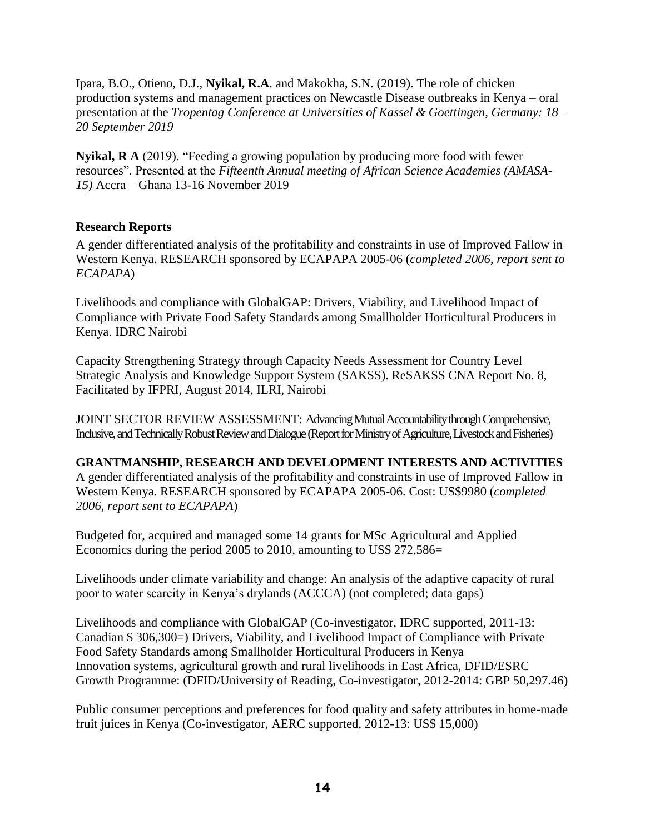Ipara, B.O., Otieno, D.J., **Nyikal, R.A**. and Makokha, S.N. (2019). The role of chicken production systems and management practices on Newcastle Disease outbreaks in Kenya – oral presentation at the *Tropentag Conference at Universities of Kassel & Goettingen, Germany: 18 – 20 September 2019*

**Nyikal, R A** (2019). "Feeding a growing population by producing more food with fewer resources". Presented at the *Fifteenth Annual meeting of African Science Academies (AMASA-15)* Accra – Ghana 13-16 November 2019

#### <span id="page-13-0"></span>**Research Reports**

A gender differentiated analysis of the profitability and constraints in use of Improved Fallow in Western Kenya. RESEARCH sponsored by ECAPAPA 2005-06 (*completed 2006, report sent to ECAPAPA*)

Livelihoods and compliance with GlobalGAP: Drivers, Viability, and Livelihood Impact of Compliance with Private Food Safety Standards among Smallholder Horticultural Producers in Kenya. IDRC Nairobi

Capacity Strengthening Strategy through Capacity Needs Assessment for Country Level Strategic Analysis and Knowledge Support System (SAKSS). ReSAKSS CNA Report No. 8, Facilitated by IFPRI, August 2014, ILRI, Nairobi

JOINT SECTOR REVIEW ASSESSMENT: Advancing Mutual Accountability through Comprehensive, Inclusive, and Technically Robust Review and Dialogue(Report for Ministry of Agriculture,Livestock and Fisheries)

# <span id="page-13-1"></span>**GRANTMANSHIP, RESEARCH AND DEVELOPMENT INTERESTS AND ACTIVITIES**

A gender differentiated analysis of the profitability and constraints in use of Improved Fallow in Western Kenya. RESEARCH sponsored by ECAPAPA 2005-06. Cost: US\$9980 (*completed 2006, report sent to ECAPAPA*)

Budgeted for, acquired and managed some 14 grants for MSc Agricultural and Applied Economics during the period 2005 to 2010, amounting to US\$ 272,586=

Livelihoods under climate variability and change: An analysis of the adaptive capacity of rural poor to water scarcity in Kenya's drylands (ACCCA) (not completed; data gaps)

Livelihoods and compliance with GlobalGAP (Co-investigator, IDRC supported, 2011-13: Canadian \$ 306,300=) Drivers, Viability, and Livelihood Impact of Compliance with Private Food Safety Standards among Smallholder Horticultural Producers in Kenya Innovation systems, agricultural growth and rural livelihoods in East Africa, DFID/ESRC Growth Programme: (DFID/University of Reading, Co-investigator, 2012-2014: GBP 50,297.46)

Public consumer perceptions and preferences for food quality and safety attributes in home-made fruit juices in Kenya (Co-investigator, AERC supported, 2012-13: US\$ 15,000)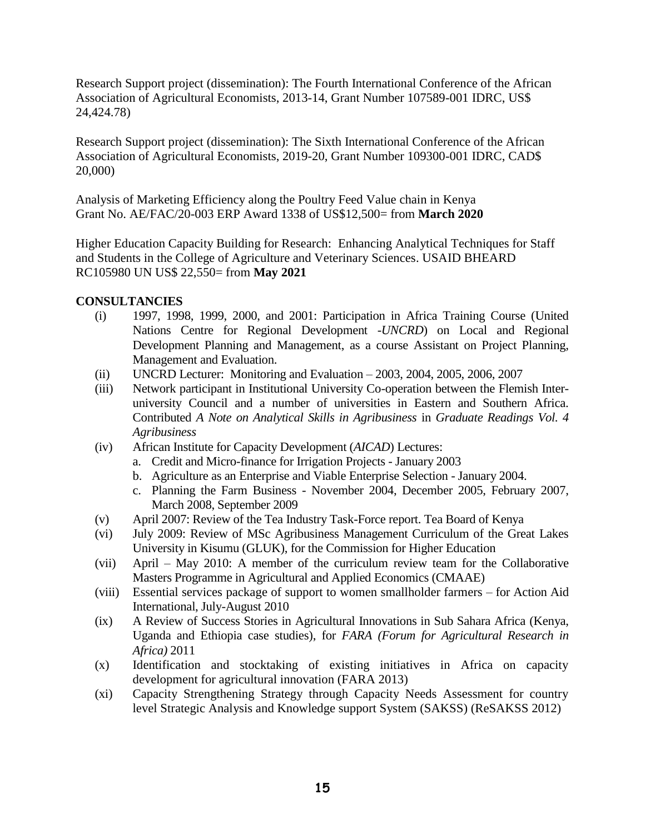Research Support project (dissemination): The Fourth International Conference of the African Association of Agricultural Economists, 2013-14, Grant Number 107589-001 IDRC, US\$ 24,424.78)

Research Support project (dissemination): The Sixth International Conference of the African Association of Agricultural Economists, 2019-20, Grant Number 109300-001 IDRC, CAD\$ 20,000)

Analysis of Marketing Efficiency along the Poultry Feed Value chain in Kenya Grant No. AE/FAC/20-003 ERP Award 1338 of US\$12,500= from **March 2020**

Higher Education Capacity Building for Research: Enhancing Analytical Techniques for Staff and Students in the College of Agriculture and Veterinary Sciences. USAID BHEARD RC105980 UN US\$ 22,550= from **May 2021**

#### <span id="page-14-0"></span>**CONSULTANCIES**

- (i) 1997, 1998, 1999, 2000, and 2001: Participation in Africa Training Course (United Nations Centre for Regional Development -*UNCRD*) on Local and Regional Development Planning and Management, as a course Assistant on Project Planning, Management and Evaluation.
- (ii) UNCRD Lecturer: Monitoring and Evaluation 2003, 2004, 2005, 2006, 2007
- (iii) Network participant in Institutional University Co-operation between the Flemish Interuniversity Council and a number of universities in Eastern and Southern Africa. Contributed *A Note on Analytical Skills in Agribusiness* in *Graduate Readings Vol. 4 Agribusiness*
- (iv) African Institute for Capacity Development (*AICAD*) Lectures:
	- a. Credit and Micro-finance for Irrigation Projects January 2003
	- b. Agriculture as an Enterprise and Viable Enterprise Selection January 2004.
	- c. Planning the Farm Business November 2004, December 2005, February 2007, March 2008, September 2009
- (v) April 2007: Review of the Tea Industry Task-Force report. Tea Board of Kenya
- (vi) July 2009: Review of MSc Agribusiness Management Curriculum of the Great Lakes University in Kisumu (GLUK), for the Commission for Higher Education
- (vii) April May 2010: A member of the curriculum review team for the Collaborative Masters Programme in Agricultural and Applied Economics (CMAAE)
- (viii) Essential services package of support to women smallholder farmers for Action Aid International, July-August 2010
- (ix) A Review of Success Stories in Agricultural Innovations in Sub Sahara Africa (Kenya, Uganda and Ethiopia case studies), for *FARA (Forum for Agricultural Research in Africa)* 2011
- (x) Identification and stocktaking of existing initiatives in Africa on capacity development for agricultural innovation (FARA 2013)
- (xi) Capacity Strengthening Strategy through Capacity Needs Assessment for country level Strategic Analysis and Knowledge support System (SAKSS) (ReSAKSS 2012)